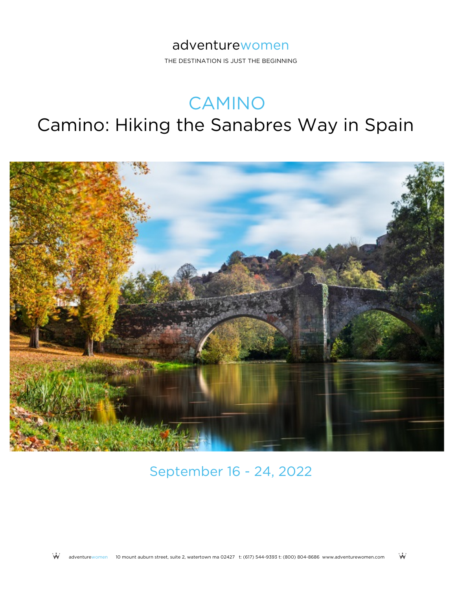THE DESTINATION IS JUST THE BEGINNING

# CAMINO

# Camino: Hiking the Sanabres Way in Spain



September 16 - 24, 2022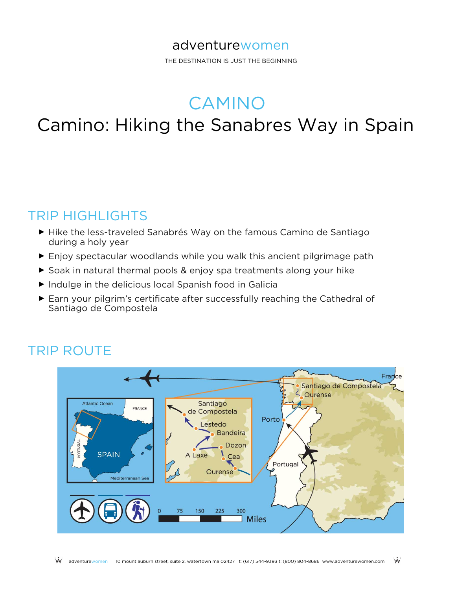THE DESTINATION IS JUST THE BEGINNING

# CAMINO

# Camino: Hiking the Sanabres Way in Spain

### TRIP HIGHLIGHTS

- ► Hike the less-traveled Sanabrés Way on the famous Camino de Santiago during a holy year
- ► Enjoy spectacular woodlands while you walk this ancient pilgrimage path
- ► Soak in natural thermal pools & enjoy spa treatments along your hike
- ► Indulge in the delicious local Spanish food in Galicia
- ► Earn your pilgrim's certificate after successfully reaching the Cathedral of Santiago de Compostela

### TRIP ROUTE

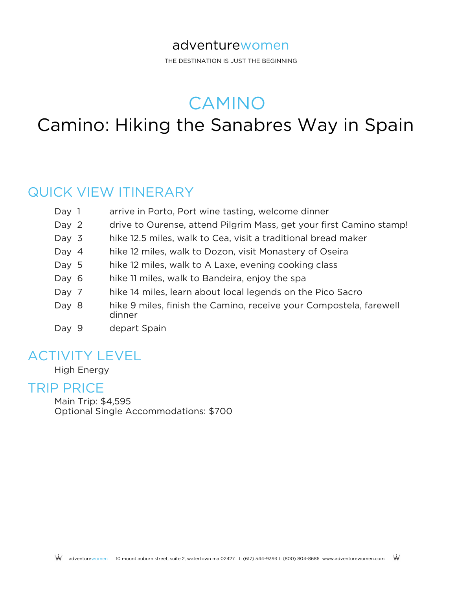THE DESTINATION IS JUST THE BEGINNING

CAMINO

# Camino: Hiking the Sanabres Way in Spain

### QUICK VIEW ITINERARY

| Day 1   | arrive in Porto, Port wine tasting, welcome dinner                           |
|---------|------------------------------------------------------------------------------|
| Day 2   | drive to Ourense, attend Pilgrim Mass, get your first Camino stamp!          |
| Day $3$ | hike 12.5 miles, walk to Cea, visit a traditional bread maker                |
| Day $4$ | hike 12 miles, walk to Dozon, visit Monastery of Oseira                      |
| Day 5   | hike 12 miles, walk to A Laxe, evening cooking class                         |
| Day 6   | hike 11 miles, walk to Bandeira, enjoy the spa                               |
| Day 7   | hike 14 miles, learn about local legends on the Pico Sacro                   |
| Day 8   | hike 9 miles, finish the Camino, receive your Compostela, farewell<br>dinner |
| Day 9   | depart Spain                                                                 |

### ACTIVITY LEVEL

High Energy

### TRIP PRICE

Main Trip: \$4,595 Optional Single Accommodations: \$700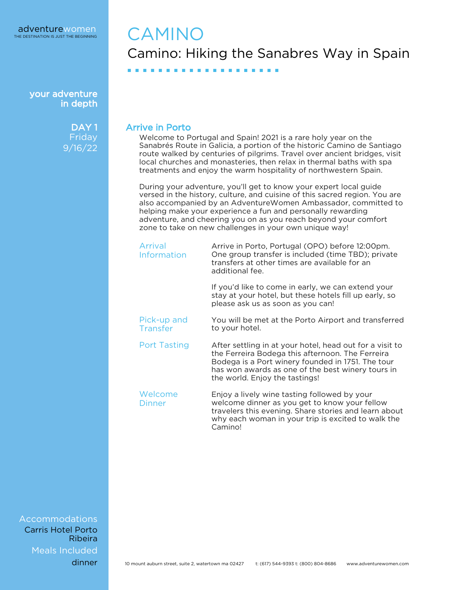> DAY<sub>1</sub> Friday 9/16/22

## CAMINO Camino: Hiking the Sanabres Way in Spain

#### Arrive in Porto

■ ■ ■ ■ ■ ■ ■ ■ ■ ■ ■ ■ ■ ■ ■ ■ ■ ■ ■ ■

Welcome to Portugal and Spain! 2021 is a rare holy year on the Sanabrés Route in Galicia, a portion of the historic Camino de Santiago route walked by centuries of pilgrims. Travel over ancient bridges, visit local churches and monasteries, then relax in thermal baths with spa treatments and enjoy the warm hospitality of northwestern Spain.

During your adventure, you'll get to know your expert local guide versed in the history, culture, and cuisine of this sacred region. You are also accompanied by an AdventureWomen Ambassador, committed to helping make your experience a fun and personally rewarding adventure, and cheering you on as you reach beyond your comfort zone to take on new challenges in your own unique way!

| Arrival<br><b>Information</b> | Arrive in Porto, Portugal (OPO) before 12:00pm.<br>One group transfer is included (time TBD); private<br>transfers at other times are available for an<br>additional fee.                                                                                |
|-------------------------------|----------------------------------------------------------------------------------------------------------------------------------------------------------------------------------------------------------------------------------------------------------|
|                               | If you'd like to come in early, we can extend your<br>stay at your hotel, but these hotels fill up early, so<br>please ask us as soon as you can!                                                                                                        |
| Pick-up and<br>Transfer       | You will be met at the Porto Airport and transferred<br>to your hotel.                                                                                                                                                                                   |
| <b>Port Tasting</b>           | After settling in at your hotel, head out for a visit to<br>the Ferreira Bodega this afternoon. The Ferreira<br>Bodega is a Port winery founded in 1751. The tour<br>has won awards as one of the best winery tours in<br>the world. Enjoy the tastings! |
| Welcome<br><b>Dinner</b>      | Enjoy a lively wine tasting followed by your<br>welcome dinner as you get to know your fellow<br>travelers this evening. Share stories and learn about<br>why each woman in your trip is excited to walk the<br>Camino!                                  |

Accommodations Meals Included Carris Hotel Porto Ribeira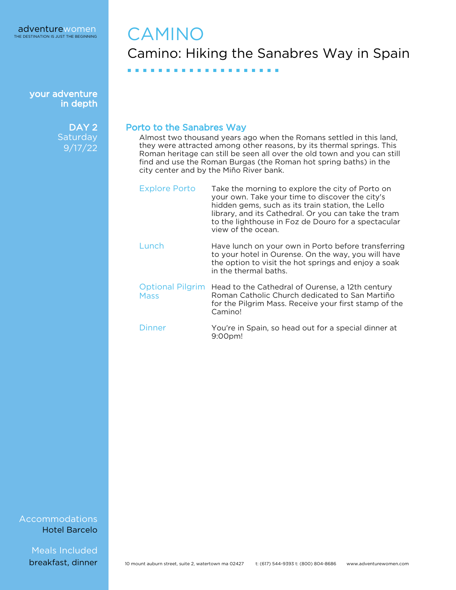

> DAY<sub>2</sub> **Saturday** 9/17/22

## **CAMINO** Camino: Hiking the Sanabres Way in Spain

#### Porto to the Sanabres Way

■ ■ ■ ■ ■ ■ ■ ■ ■ ■ ■ ■ ■ ■ ■ ■ ■ ■ ■ ■

Almost two thousand years ago when the Romans settled in this land, they were attracted among other reasons, by its thermal springs. This Roman heritage can still be seen all over the old town and you can still find and use the Roman Burgas (the Roman hot spring baths) in the city center and by the Miño River bank.

| <b>Explore Porto</b>                   | Take the morning to explore the city of Porto on<br>your own. Take your time to discover the city's<br>hidden gems, such as its train station, the Lello<br>library, and its Cathedral. Or you can take the tram<br>to the lighthouse in Foz de Douro for a spectacular<br>view of the ocean. |
|----------------------------------------|-----------------------------------------------------------------------------------------------------------------------------------------------------------------------------------------------------------------------------------------------------------------------------------------------|
| Lunch                                  | Have lunch on your own in Porto before transferring<br>to your hotel in Ourense. On the way, you will have<br>the option to visit the hot springs and enjoy a soak<br>in the thermal baths.                                                                                                   |
| <b>Optional Pilgrim</b><br><b>Mass</b> | Head to the Cathedral of Ourense, a 12th century<br>Roman Catholic Church dedicated to San Martiño<br>for the Pilgrim Mass. Receive your first stamp of the<br>Camino!                                                                                                                        |
| Dinner                                 | You're in Spain, so head out for a special dinner at<br>9:00pm!                                                                                                                                                                                                                               |

Accommodations Hotel Barcelo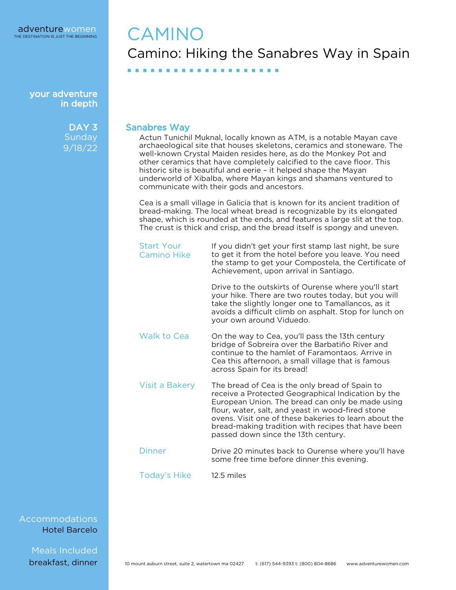> DAY<sub>3</sub> **Sunday** 9/18/22

## CAMINO Camino: Hiking the Sanabres Way in Spain

#### Sanabres Way

■ ■ ■ ■ ■ ■ ■ ■ ■ ■ ■ ■ ■ ■ ■ ■ ■ ■ ■ ■

Actun Tunichil Muknal, locally known as ATM, is a notable Mayan cave archaeological site that houses skeletons, ceramics and stoneware. The well-known Crystal Maiden resides here, as do the Monkey Pot and other ceramics that have completely calcified to the cave floor. This historic site is beautiful and eerie – it helped shape the Mayan underworld of Xibalba, where Mayan kings and shamans ventured to communicate with their gods and ancestors.

Cea is a small village in Galicia that is known for its ancient tradition of bread-making. The local wheat bread is recognizable by its elongated shape, which is rounded at the ends, and features a large slit at the top. The crust is thick and crisp, and the bread itself is spongy and uneven.

| <b>Start Your</b><br>Camino Hike | If you didn't get your first stamp last night, be sure<br>to get it from the hotel before you leave. You need<br>the stamp to get your Compostela, the Certificate of<br>Achievement, upon arrival in Santiago.                                                                                                                                                     |
|----------------------------------|---------------------------------------------------------------------------------------------------------------------------------------------------------------------------------------------------------------------------------------------------------------------------------------------------------------------------------------------------------------------|
|                                  | Drive to the outskirts of Ourense where you'll start<br>your hike. There are two routes today, but you will<br>take the slightly longer one to Tamallancos, as it<br>avoids a difficult climb on asphalt. Stop for lunch on<br>your own around Viduedo.                                                                                                             |
| Walk to Cea                      | On the way to Cea, you'll pass the 13th century<br>bridge of Sobreira over the Barbatiño River and<br>continue to the hamlet of Faramontaos. Arrive in<br>Cea this afternoon, a small village that is famous<br>across Spain for its bread!                                                                                                                         |
| Visit a Bakery                   | The bread of Cea is the only bread of Spain to<br>receive a Protected Geographical Indication by the<br>European Union. The bread can only be made using<br>flour, water, salt, and yeast in wood-fired stone<br>ovens. Visit one of these bakeries to learn about the<br>bread-making tradition with recipes that have been<br>passed down since the 13th century. |
| Dinner                           | Drive 20 minutes back to Ourense where you'll have<br>some free time before dinner this evening.                                                                                                                                                                                                                                                                    |
| <b>Today's Hike</b>              | 12.5 miles                                                                                                                                                                                                                                                                                                                                                          |

Accommodations Hotel Barcelo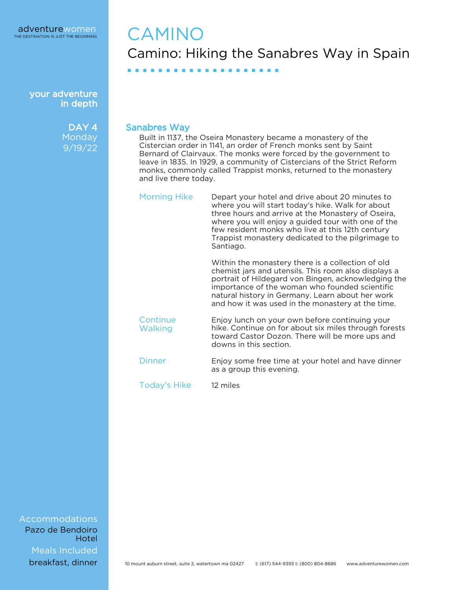> DAY<sub>4</sub> **Monday** 9/19/22

# CAMINO Camino: Hiking the Sanabres Way in Spain

#### Sanabres Way

■ ■ ■ ■ ■ ■ ■ ■ ■ ■ ■ ■ ■ ■ ■ ■ ■ ■ ■ ■

Built in 1137, the Oseira Monastery became a monastery of the Cistercian order in 1141, an order of French monks sent by Saint Bernard of Clairvaux. The monks were forced by the government to leave in 1835. In 1929, a community of Cistercians of the Strict Reform monks, commonly called Trappist monks, returned to the monastery and live there today.

| <b>Morning Hike</b> | Depart your hotel and drive about 20 minutes to<br>where you will start today's hike. Walk for about<br>three hours and arrive at the Monastery of Oseira,<br>where you will enjoy a guided tour with one of the<br>few resident monks who live at this 12th century<br>Trappist monastery dedicated to the pilgrimage to<br>Santiago. |
|---------------------|----------------------------------------------------------------------------------------------------------------------------------------------------------------------------------------------------------------------------------------------------------------------------------------------------------------------------------------|
|                     | Within the monastery there is a collection of old                                                                                                                                                                                                                                                                                      |

chemist jars and utensils. This room also displays a portrait of Hildegard von Bingen, acknowledging the importance of the woman who founded scientific natural history in Germany. Learn about her work and how it was used in the monastery at the time.

**Continue Walking** Enjoy lunch on your own before continuing your hike. Continue on for about six miles through forests toward Castor Dozon. There will be more ups and downs in this section.

Dinner Enjoy some free time at your hotel and have dinner as a group this evening.

Today's Hike 12 miles

Accommodations Meals Included Pazo de Bendoiro **Hotel**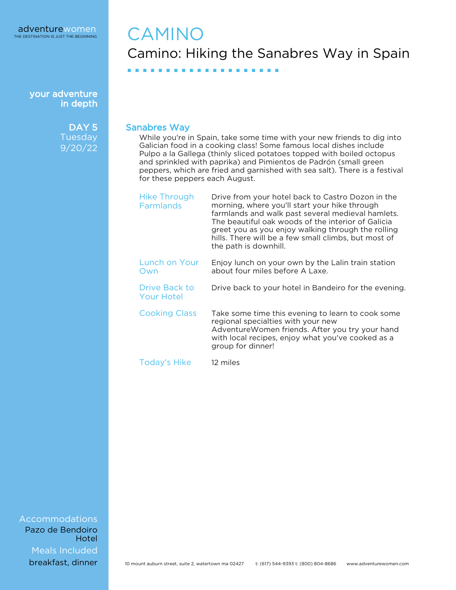> DAY<sub>5</sub> **Tuesday** 9/20/22

## CAMINO Camino: Hiking the Sanabres Way in Spain

Sanabres Way

■ ■ ■ ■ ■ ■ ■ ■ ■ ■ ■ ■ ■ ■ ■ ■ ■ ■ ■ ■

While you're in Spain, take some time with your new friends to dig into Galician food in a cooking class! Some famous local dishes include Pulpo a la Gallega (thinly sliced potatoes topped with boiled octopus and sprinkled with paprika) and Pimientos de Padrón (small green peppers, which are fried and garnished with sea salt). There is a festival for these peppers each August.

| <b>Hike Through</b><br><b>Farmlands</b> | Drive from your hotel back to Castro Dozon in the<br>morning, where you'll start your hike through<br>farmlands and walk past several medieval hamlets.<br>The beautiful oak woods of the interior of Galicia<br>greet you as you enjoy walking through the rolling<br>hills. There will be a few small climbs, but most of<br>the path is downhill. |
|-----------------------------------------|------------------------------------------------------------------------------------------------------------------------------------------------------------------------------------------------------------------------------------------------------------------------------------------------------------------------------------------------------|
| Lunch on Your<br>Own                    | Enjoy lunch on your own by the Lalin train station<br>about four miles before A Laxe.                                                                                                                                                                                                                                                                |
| Drive Back to<br><b>Your Hotel</b>      | Drive back to your hotel in Bandeiro for the evening.                                                                                                                                                                                                                                                                                                |
| <b>Cooking Class</b>                    | Take some time this evening to learn to cook some<br>regional specialties with your new<br>AdventureWomen friends. After you try your hand<br>with local recipes, enjoy what you've cooked as a<br>group for dinner!                                                                                                                                 |
| <b>Today's Hike</b>                     | 12 miles                                                                                                                                                                                                                                                                                                                                             |

Accommodations Meals Included Pazo de Bendoiro Hotel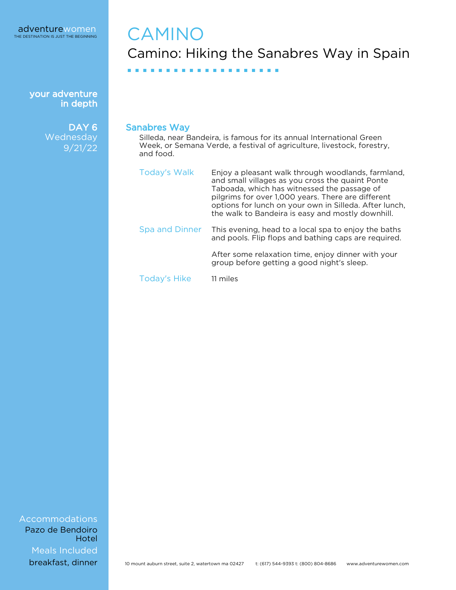> DAY<sub>6</sub> **Wednesday** 9/21/22

# **CAMINO** Camino: Hiking the Sanabres Way in Spain

Sanabres Way

Silleda, near Bandeira, is famous for its annual International Green Week, or Semana Verde, a festival of agriculture, livestock, forestry, and food.

| <b>Today's Walk</b>   | Enjoy a pleasant walk through woodlands, farmland,<br>and small villages as you cross the quaint Ponte<br>Taboada, which has witnessed the passage of<br>pilgrims for over 1,000 years. There are different<br>options for lunch on your own in Silleda. After lunch,<br>the walk to Bandeira is easy and mostly downhill. |
|-----------------------|----------------------------------------------------------------------------------------------------------------------------------------------------------------------------------------------------------------------------------------------------------------------------------------------------------------------------|
| <b>Spa and Dinner</b> | This evening, head to a local spa to enjoy the baths<br>and pools. Flip flops and bathing caps are required.                                                                                                                                                                                                               |
|                       | After some relaxation time, enjoy dinner with your<br>group before getting a good night's sleep.                                                                                                                                                                                                                           |

Today's Hike 11 miles

■ ■ ■ ■ ■ ■ ■ ■ ■ ■ ■ ■ ■ ■ ■ ■ ■ ■ ■ ■

Accommodations Meals Included Pazo de Bendoiro Hotel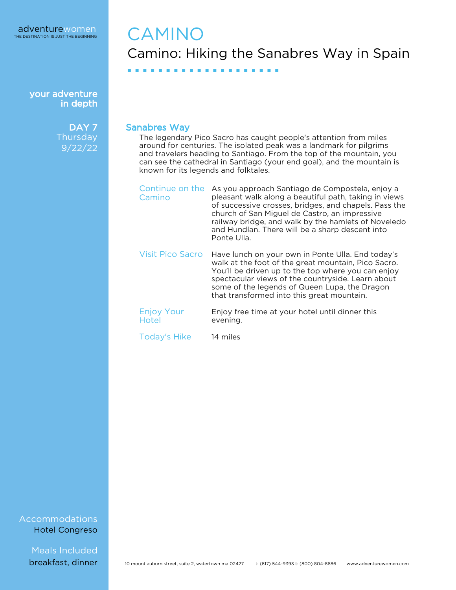> DAY<sub>7</sub> Thursday 9/22/22

## **CAMINO** Camino: Hiking the Sanabres Way in Spain

Sanabres Way

■ ■ ■ ■ ■ ■ ■ ■ ■ ■ ■ ■ ■ ■ ■ ■ ■ ■ ■ ■

The legendary Pico Sacro has caught people's attention from miles around for centuries. The isolated peak was a landmark for pilgrims and travelers heading to Santiago. From the top of the mountain, you can see the cathedral in Santiago (your end goal), and the mountain is known for its legends and folktales.

| Continue on the<br>Camino  | As you approach Santiago de Compostela, enjoy a<br>pleasant walk along a beautiful path, taking in views<br>of successive crosses, bridges, and chapels. Pass the<br>church of San Miguel de Castro, an impressive<br>railway bridge, and walk by the hamlets of Noveledo<br>and Hundían. There will be a sharp descent into<br>Ponte Ulla. |
|----------------------------|---------------------------------------------------------------------------------------------------------------------------------------------------------------------------------------------------------------------------------------------------------------------------------------------------------------------------------------------|
| <b>Visit Pico Sacro</b>    | Have lunch on your own in Ponte Ulla. End today's<br>walk at the foot of the great mountain, Pico Sacro.<br>You'll be driven up to the top where you can enjoy<br>spectacular views of the countryside. Learn about<br>some of the legends of Queen Lupa, the Dragon<br>that transformed into this great mountain.                          |
| <b>Enjoy Your</b><br>Hotel | Enjoy free time at your hotel until dinner this<br>evening.                                                                                                                                                                                                                                                                                 |
| <b>Today's Hike</b>        | 14 miles                                                                                                                                                                                                                                                                                                                                    |

Accommodations Hotel Congreso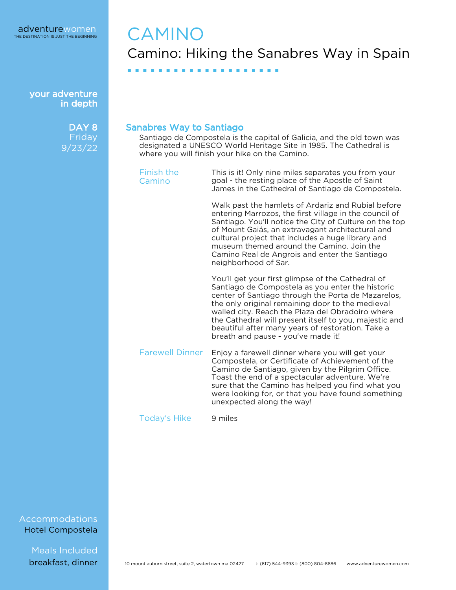> DAY<sub>8</sub> **Friday** 9/23/22

# CAMINO Camino: Hiking the Sanabres Way in Spain

#### Sanabres Way to Santiago

■ ■ ■ ■ ■ ■ ■ ■ ■ ■ ■ ■ ■ ■ ■ ■ ■ ■ ■ ■

Santiago de Compostela is the capital of Galicia, and the old town was designated a UNESCO World Heritage Site in 1985. The Cathedral is where you will finish your hike on the Camino.

Finish the Camino

This is it! Only nine miles separates you from your goal - the resting place of the Apostle of Saint James in the Cathedral of Santiago de Compostela.

Walk past the hamlets of Ardariz and Rubial before entering Marrozos, the first village in the council of Santiago. You'll notice the City of Culture on the top of Mount Gaiás, an extravagant architectural and cultural project that includes a huge library and museum themed around the Camino. Join the Camino Real de Angrois and enter the Santiago neighborhood of Sar.

You'll get your first glimpse of the Cathedral of Santiago de Compostela as you enter the historic center of Santiago through the Porta de Mazarelos, the only original remaining door to the medieval walled city. Reach the Plaza del Obradoiro where the Cathedral will present itself to you, majestic and beautiful after many years of restoration. Take a breath and pause - you've made it!

Farewell Dinner Enjoy a farewell dinner where you will get your Compostela, or Certificate of Achievement of the Camino de Santiago, given by the Pilgrim Office. Toast the end of a spectacular adventure. We're sure that the Camino has helped you find what you were looking for, or that you have found something unexpected along the way!

Today's Hike 9 miles

#### Accommodations Hotel Compostela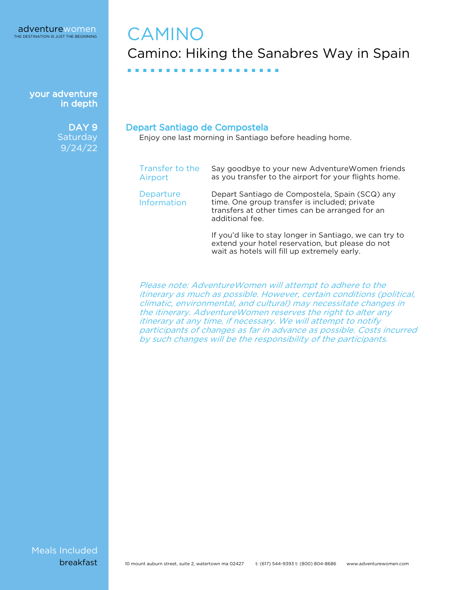your adventure in depth

> DAY<sub>9</sub> **Saturday** 9/24/22

# CAMINO Camino: Hiking the Sanabres Way in Spain

Depart Santiago de Compostela

■ ■ ■ ■ ■ ■ ■ ■ ■ ■ ■ ■ ■ ■ ■ ■ ■ ■ ■ ■

Enjoy one last morning in Santiago before heading home.

| Transfer to the<br>Airport      | Say goodbye to your new Adventure Women friends<br>as you transfer to the airport for your flights home.                                                              |
|---------------------------------|-----------------------------------------------------------------------------------------------------------------------------------------------------------------------|
| Departure<br><b>Information</b> | Depart Santiago de Compostela, Spain (SCQ) any<br>time. One group transfer is included; private<br>transfers at other times can be arranged for an<br>additional fee. |
|                                 | If you'd like to stay lenger in Cantiage, we can trute                                                                                                                |

If you'd like to stay longer in Santiago, we can try to extend your hotel reservation, but please do not wait as hotels will fill up extremely early.

Please note: AdventureWomen will attempt to adhere to the itinerary as much as possible. However, certain conditions (political, climatic, environmental, and cultural) may necessitate changes in the itinerary. AdventureWomen reserves the right to alter any itinerary at any time, if necessary. We will attempt to notify participants of changes as far in advance as possible. Costs incurred by such changes will be the responsibility of the participants.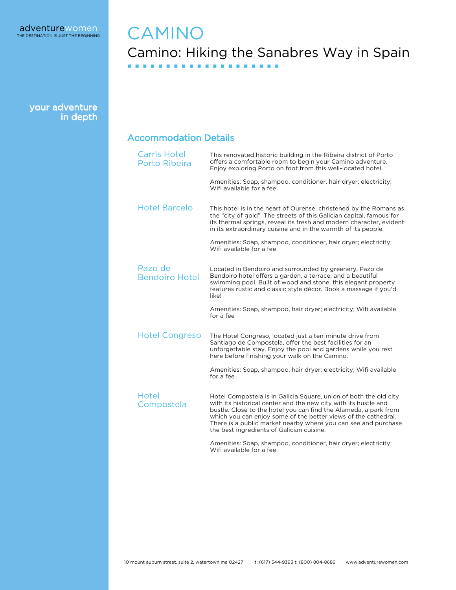### **CAMINO** Camino: Hiking the Sanabres Way in Spain ■ ■ ■ ■ ■ ■ ■ ■ ■ ■ ■ ■ ■ ■ ■ ■ ■ ■ ■ ■

your adventure in depth

#### Accommodation Details

| <b>Carris Hotel</b><br>Porto Ribeira | This renovated historic building in the Ribeira district of Porto<br>offers a comfortable room to begin your Camino adventure.<br>Enjoy exploring Porto on foot from this well-located hotel.                                                                                                                                                                                             |
|--------------------------------------|-------------------------------------------------------------------------------------------------------------------------------------------------------------------------------------------------------------------------------------------------------------------------------------------------------------------------------------------------------------------------------------------|
|                                      | Amenities: Soap, shampoo, conditioner, hair dryer; electricity;<br>Wifi available for a fee                                                                                                                                                                                                                                                                                               |
| <b>Hotel Barcelo</b>                 | This hotel is in the heart of Ourense, christened by the Romans as<br>the "city of gold". The streets of this Galician capital, famous for<br>its thermal springs, reveal its fresh and modern character, evident<br>in its extraordinary cuisine and in the warmth of its people.                                                                                                        |
|                                      | Amenities: Soap, shampoo, conditioner, hair dryer; electricity;<br>Wifi available for a fee                                                                                                                                                                                                                                                                                               |
| Pazo de<br><b>Bendoiro Hotel</b>     | Located in Bendoiro and surrounded by greenery, Pazo de<br>Bendoiro hotel offers a garden, a terrace, and a beautiful<br>swimming pool. Built of wood and stone, this elegant property<br>features rustic and classic style dècor. Book a massage if you'd<br>like!                                                                                                                       |
|                                      | Amenities: Soap, shampoo, hair dryer; electricity; Wifi available<br>for a fee                                                                                                                                                                                                                                                                                                            |
| <b>Hotel Congreso</b>                | The Hotel Congreso, located just a ten-minute drive from<br>Santiago de Compostela, offer the best facilities for an<br>unforgettable stay. Enjoy the pool and gardens while you rest<br>here before finishing your walk on the Camino.                                                                                                                                                   |
|                                      | Amenities: Soap, shampoo, hair dryer; electricity; Wifi available<br>for a fee                                                                                                                                                                                                                                                                                                            |
| Hotel<br>Compostela                  | Hotel Compostela is in Galicia Square, union of both the old city<br>with its historical center and the new city with its hustle and<br>bustle. Close to the hotel you can find the Alameda, a park from<br>which you can enjoy some of the better views of the cathedral.<br>There is a public market nearby where you can see and purchase<br>the best ingredients of Galician cuisine. |
|                                      | Amenities: Soap, shampoo, conditioner, hair dryer; electricity;<br>Wifi available for a fee                                                                                                                                                                                                                                                                                               |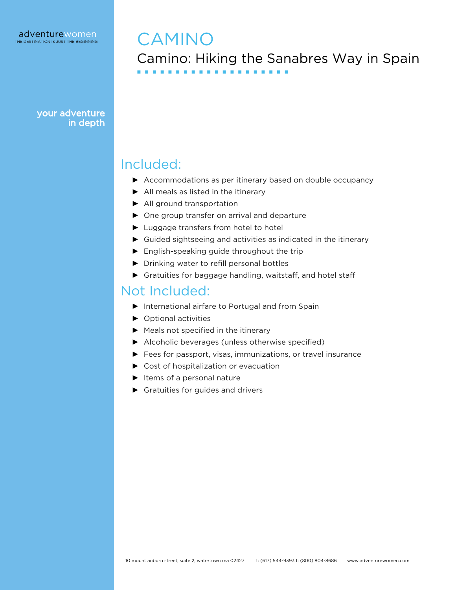### CAMINO Camino: Hiking the Sanabres Way in Spain ■ ■ ■ ■ ■ ■ ■ ■ ■ ■ ■ ■ ■ ■ ■ ■ ■ ■ ■ ■

### Included:

- ▶ Accommodations as per itinerary based on double occupancy
- ► All meals as listed in the itinerary
- ► All ground transportation
- ► One group transfer on arrival and departure
- ► Luggage transfers from hotel to hotel
- ► Guided sightseeing and activities as indicated in the itinerary
- ► English-speaking guide throughout the trip
- ► Drinking water to refill personal bottles
- ► Gratuities for baggage handling, waitstaff, and hotel staff

### Not Included:

- ► International airfare to Portugal and from Spain
- ► Optional activities
- ► Meals not specified in the itinerary
- ► Alcoholic beverages (unless otherwise specified)
- ► Fees for passport, visas, immunizations, or travel insurance
- ► Cost of hospitalization or evacuation
- ► Items of a personal nature
- ► Gratuities for guides and drivers